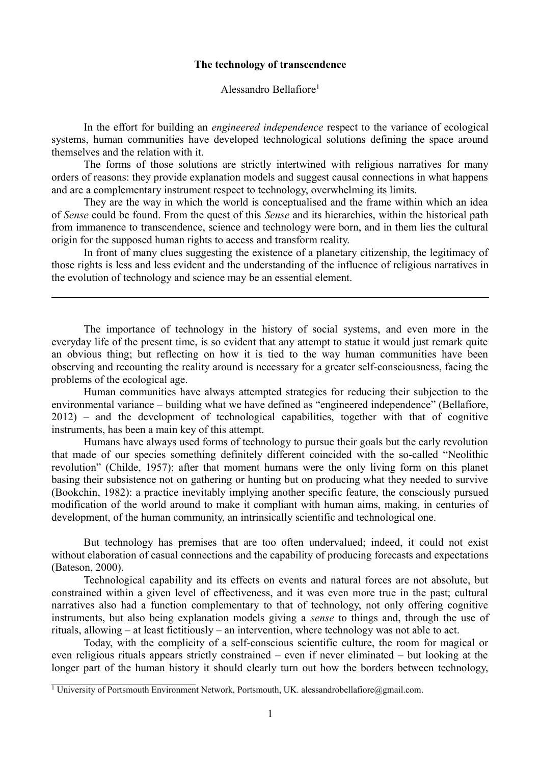# **The technology of transcendence**

Alessandro Bellafiore[1](#page-0-0)

In the effort for building an *engineered independence* respect to the variance of ecological systems, human communities have developed technological solutions defining the space around themselves and the relation with it.

The forms of those solutions are strictly intertwined with religious narratives for many orders of reasons: they provide explanation models and suggest causal connections in what happens and are a complementary instrument respect to technology, overwhelming its limits.

They are the way in which the world is conceptualised and the frame within which an idea of *Sense* could be found. From the quest of this *Sense* and its hierarchies, within the historical path from immanence to transcendence, science and technology were born, and in them lies the cultural origin for the supposed human rights to access and transform reality.

In front of many clues suggesting the existence of a planetary citizenship, the legitimacy of those rights is less and less evident and the understanding of the influence of religious narratives in the evolution of technology and science may be an essential element.

The importance of technology in the history of social systems, and even more in the everyday life of the present time, is so evident that any attempt to statue it would just remark quite an obvious thing; but reflecting on how it is tied to the way human communities have been observing and recounting the reality around is necessary for a greater self-consciousness, facing the problems of the ecological age.

Human communities have always attempted strategies for reducing their subjection to the environmental variance – building what we have defined as "engineered independence" (Bellafiore, 2012) – and the development of technological capabilities, together with that of cognitive instruments, has been a main key of this attempt.

Humans have always used forms of technology to pursue their goals but the early revolution that made of our species something definitely different coincided with the so-called "Neolithic revolution" (Childe, 1957); after that moment humans were the only living form on this planet basing their subsistence not on gathering or hunting but on producing what they needed to survive (Bookchin, 1982): a practice inevitably implying another specific feature, the consciously pursued modification of the world around to make it compliant with human aims, making, in centuries of development, of the human community, an intrinsically scientific and technological one.

But technology has premises that are too often undervalued; indeed, it could not exist without elaboration of casual connections and the capability of producing forecasts and expectations (Bateson, 2000).

Technological capability and its effects on events and natural forces are not absolute, but constrained within a given level of effectiveness, and it was even more true in the past; cultural narratives also had a function complementary to that of technology, not only offering cognitive instruments, but also being explanation models giving a *sense* to things and, through the use of rituals, allowing – at least fictitiously – an intervention, where technology was not able to act.

Today, with the complicity of a self-conscious scientific culture, the room for magical or even religious rituals appears strictly constrained – even if never eliminated – but looking at the longer part of the human history it should clearly turn out how the borders between technology,

<span id="page-0-0"></span><sup>&</sup>lt;sup>1</sup> University of Portsmouth Environment Network, Portsmouth, UK. alessandrobellafiore@gmail.com.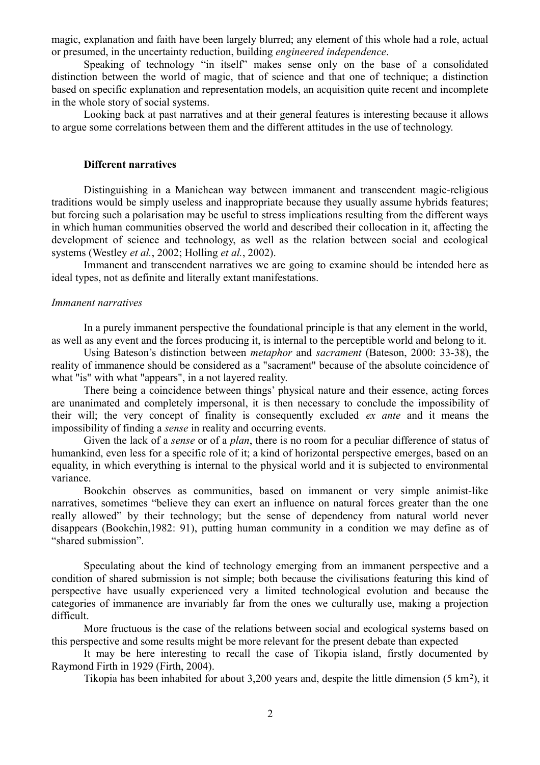magic, explanation and faith have been largely blurred; any element of this whole had a role, actual or presumed, in the uncertainty reduction, building *engineered independence*.

Speaking of technology "in itself" makes sense only on the base of a consolidated distinction between the world of magic, that of science and that one of technique; a distinction based on specific explanation and representation models, an acquisition quite recent and incomplete in the whole story of social systems.

Looking back at past narratives and at their general features is interesting because it allows to argue some correlations between them and the different attitudes in the use of technology.

## **Different narratives**

Distinguishing in a Manichean way between immanent and transcendent magic-religious traditions would be simply useless and inappropriate because they usually assume hybrids features; but forcing such a polarisation may be useful to stress implications resulting from the different ways in which human communities observed the world and described their collocation in it, affecting the development of science and technology, as well as the relation between social and ecological systems (Westley *et al.*, 2002; Holling *et al.*, 2002).

Immanent and transcendent narratives we are going to examine should be intended here as ideal types, not as definite and literally extant manifestations.

### *Immanent narratives*

In a purely immanent perspective the foundational principle is that any element in the world, as well as any event and the forces producing it, is internal to the perceptible world and belong to it.

Using Bateson's distinction between *metaphor* and *sacrament* (Bateson, 2000: 33-38), the reality of immanence should be considered as a "sacrament" because of the absolute coincidence of what "is" with what "appears", in a not layered reality.

There being a coincidence between things' physical nature and their essence, acting forces are unanimated and completely impersonal, it is then necessary to conclude the impossibility of their will; the very concept of finality is consequently excluded *ex ante* and it means the impossibility of finding a *sense* in reality and occurring events.

Given the lack of a *sense* or of a *plan*, there is no room for a peculiar difference of status of humankind, even less for a specific role of it; a kind of horizontal perspective emerges, based on an equality, in which everything is internal to the physical world and it is subjected to environmental variance.

Bookchin observes as communities, based on immanent or very simple animist-like narratives, sometimes "believe they can exert an influence on natural forces greater than the one really allowed" by their technology; but the sense of dependency from natural world never disappears (Bookchin,1982: 91), putting human community in a condition we may define as of "shared submission".

Speculating about the kind of technology emerging from an immanent perspective and a condition of shared submission is not simple; both because the civilisations featuring this kind of perspective have usually experienced very a limited technological evolution and because the categories of immanence are invariably far from the ones we culturally use, making a projection difficult.

More fructuous is the case of the relations between social and ecological systems based on this perspective and some results might be more relevant for the present debate than expected

It may be here interesting to recall the case of Tikopia island, firstly documented by Raymond Firth in 1929 (Firth, 2004).

Tikopia has been inhabited for about 3,200 years and, despite the little dimension  $(5 \text{ km}^2)$ , it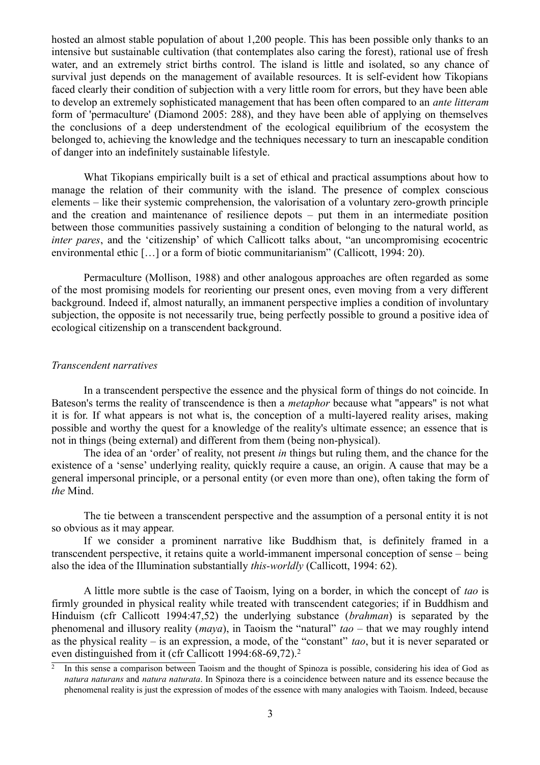hosted an almost stable population of about 1,200 people. This has been possible only thanks to an intensive but sustainable cultivation (that contemplates also caring the forest), rational use of fresh water, and an extremely strict births control. The island is little and isolated, so any chance of survival just depends on the management of available resources. It is self-evident how Tikopians faced clearly their condition of subjection with a very little room for errors, but they have been able to develop an extremely sophisticated management that has been often compared to an *ante litteram* form of 'permaculture' (Diamond 2005: 288), and they have been able of applying on themselves the conclusions of a deep understendment of the ecological equilibrium of the ecosystem the belonged to, achieving the knowledge and the techniques necessary to turn an inescapable condition of danger into an indefinitely sustainable lifestyle.

What Tikopians empirically built is a set of ethical and practical assumptions about how to manage the relation of their community with the island. The presence of complex conscious elements – like their systemic comprehension, the valorisation of a voluntary zero-growth principle and the creation and maintenance of resilience depots – put them in an intermediate position between those communities passively sustaining a condition of belonging to the natural world, as *inter pares*, and the 'citizenship' of which Callicott talks about, "an uncompromising ecocentric environmental ethic […] or a form of biotic communitarianism" (Callicott, 1994: 20).

Permaculture (Mollison, 1988) and other analogous approaches are often regarded as some of the most promising models for reorienting our present ones, even moving from a very different background. Indeed if, almost naturally, an immanent perspective implies a condition of involuntary subjection, the opposite is not necessarily true, being perfectly possible to ground a positive idea of ecological citizenship on a transcendent background.

### *Transcendent narratives*

In a transcendent perspective the essence and the physical form of things do not coincide. In Bateson's terms the reality of transcendence is then a *metaphor* because what "appears" is not what it is for. If what appears is not what is, the conception of a multi-layered reality arises, making possible and worthy the quest for a knowledge of the reality's ultimate essence; an essence that is not in things (being external) and different from them (being non-physical).

The idea of an 'order' of reality, not present *in* things but ruling them, and the chance for the existence of a 'sense' underlying reality, quickly require a cause, an origin. A cause that may be a general impersonal principle, or a personal entity (or even more than one), often taking the form of *the* Mind.

The tie between a transcendent perspective and the assumption of a personal entity it is not so obvious as it may appear.

If we consider a prominent narrative like Buddhism that, is definitely framed in a transcendent perspective, it retains quite a world-immanent impersonal conception of sense – being also the idea of the Illumination substantially *this-worldly* (Callicott, 1994: 62).

A little more subtle is the case of Taoism, lying on a border, in which the concept of *tao* is firmly grounded in physical reality while treated with transcendent categories; if in Buddhism and Hinduism (cfr Callicott 1994:47,52) the underlying substance (*brahman*) is separated by the phenomenal and illusory reality (*maya*), in Taoism the "natural" *tao –* that we may roughly intend as the physical reality – is an expression, a mode, of the "constant" *tao*, but it is never separated or even distinguished from it (cfr Callicott 1994:68-69,7[2](#page-2-0)).<sup>2</sup>

<span id="page-2-0"></span><sup>2</sup> In this sense a comparison between Taoism and the thought of Spinoza is possible, considering his idea of God as *natura naturans* and *natura naturata*. In Spinoza there is a coincidence between nature and its essence because the phenomenal reality is just the expression of modes of the essence with many analogies with Taoism. Indeed, because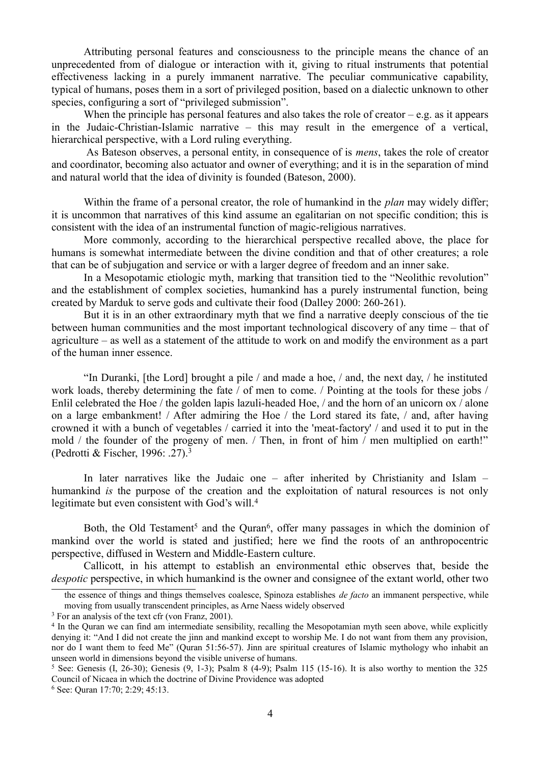Attributing personal features and consciousness to the principle means the chance of an unprecedented from of dialogue or interaction with it, giving to ritual instruments that potential effectiveness lacking in a purely immanent narrative. The peculiar communicative capability, typical of humans, poses them in a sort of privileged position, based on a dialectic unknown to other species, configuring a sort of "privileged submission".

When the principle has personal features and also takes the role of creator  $-e.g.$  as it appears in the Judaic-Christian-Islamic narrative – this may result in the emergence of a vertical, hierarchical perspective, with a Lord ruling everything.

 As Bateson observes, a personal entity, in consequence of is *mens*, takes the role of creator and coordinator, becoming also actuator and owner of everything; and it is in the separation of mind and natural world that the idea of divinity is founded (Bateson, 2000).

Within the frame of a personal creator, the role of humankind in the *plan* may widely differ; it is uncommon that narratives of this kind assume an egalitarian on not specific condition; this is consistent with the idea of an instrumental function of magic-religious narratives.

More commonly, according to the hierarchical perspective recalled above, the place for humans is somewhat intermediate between the divine condition and that of other creatures; a role that can be of subjugation and service or with a larger degree of freedom and an inner sake.

In a Mesopotamic etiologic myth, marking that transition tied to the "Neolithic revolution" and the establishment of complex societies, humankind has a purely instrumental function, being created by Marduk to serve gods and cultivate their food (Dalley 2000: 260-261).

But it is in an other extraordinary myth that we find a narrative deeply conscious of the tie between human communities and the most important technological discovery of any time – that of agriculture – as well as a statement of the attitude to work on and modify the environment as a part of the human inner essence.

"In Duranki, [the Lord] brought a pile / and made a hoe, / and, the next day, / he instituted work loads, thereby determining the fate / of men to come. / Pointing at the tools for these jobs / Enlil celebrated the Hoe / the golden lapis lazuli-headed Hoe, / and the horn of an unicorn ox / alone on a large embankment! / After admiring the Hoe / the Lord stared its fate, / and, after having crowned it with a bunch of vegetables / carried it into the 'meat-factory' / and used it to put in the mold / the founder of the progeny of men. / Then, in front of him / men multiplied on earth!" (Pedrotti & Fischer, 1996: .27).[3](#page-3-0)

In later narratives like the Judaic one – after inherited by Christianity and Islam – humankind *is* the purpose of the creation and the exploitation of natural resources is not only legitimate but even consistent with God's will.<sup>[4](#page-3-1)</sup>

Both, the Old Testament<sup>[5](#page-3-2)</sup> and the Quran<sup>[6](#page-3-3)</sup>, offer many passages in which the dominion of mankind over the world is stated and justified; here we find the roots of an anthropocentric perspective, diffused in Western and Middle-Eastern culture.

Callicott, in his attempt to establish an environmental ethic observes that, beside the *despotic* perspective, in which humankind is the owner and consignee of the extant world, other two

the essence of things and things themselves coalesce, Spinoza establishes *de facto* an immanent perspective, while moving from usually transcendent principles, as Arne Naess widely observed

<span id="page-3-0"></span><sup>&</sup>lt;sup>3</sup> For an analysis of the text cfr (von Franz, 2001).

<span id="page-3-1"></span><sup>&</sup>lt;sup>4</sup> In the Quran we can find am intermediate sensibility, recalling the Mesopotamian myth seen above, while explicitly denying it: "And I did not create the jinn and mankind except to worship Me. I do not want from them any provision, nor do I want them to feed Me" (Quran 51:56-57). Jinn are spiritual creatures of Islamic mythology who inhabit an unseen world in dimensions beyond the visible universe of humans.

<span id="page-3-2"></span><sup>&</sup>lt;sup>5</sup> See: Genesis (I, 26-30); Genesis (9, 1-3); Psalm 8 (4-9); Psalm 115 (15-16). It is also worthy to mention the 325 Council of Nicaea in which the doctrine of Divine Providence was adopted

<span id="page-3-3"></span><sup>6</sup> See: Quran 17:70; 2:29; 45:13.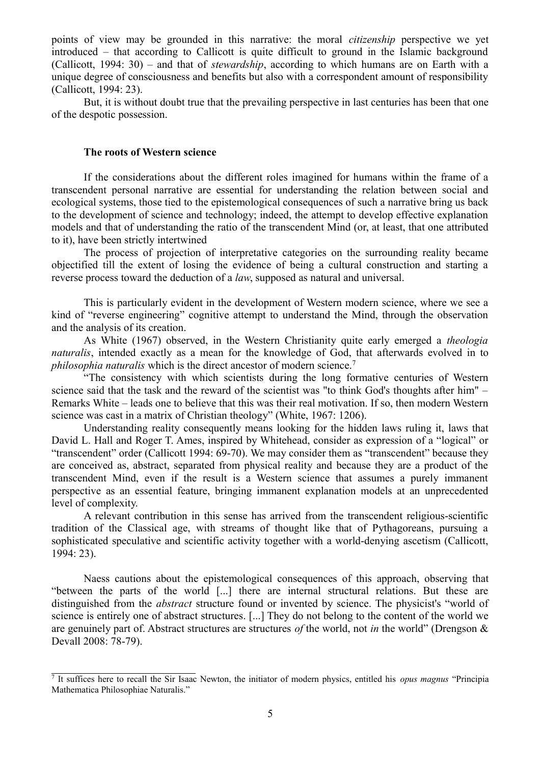points of view may be grounded in this narrative: the moral *citizenship* perspective we yet introduced – that according to Callicott is quite difficult to ground in the Islamic background (Callicott, 1994: 30) – and that of *stewardship*, according to which humans are on Earth with a unique degree of consciousness and benefits but also with a correspondent amount of responsibility (Callicott, 1994: 23).

But, it is without doubt true that the prevailing perspective in last centuries has been that one of the despotic possession.

### **The roots of Western science**

If the considerations about the different roles imagined for humans within the frame of a transcendent personal narrative are essential for understanding the relation between social and ecological systems, those tied to the epistemological consequences of such a narrative bring us back to the development of science and technology; indeed, the attempt to develop effective explanation models and that of understanding the ratio of the transcendent Mind (or, at least, that one attributed to it), have been strictly intertwined

The process of projection of interpretative categories on the surrounding reality became objectified till the extent of losing the evidence of being a cultural construction and starting a reverse process toward the deduction of a *law*, supposed as natural and universal.

This is particularly evident in the development of Western modern science, where we see a kind of "reverse engineering" cognitive attempt to understand the Mind, through the observation and the analysis of its creation.

As White (1967) observed, in the Western Christianity quite early emerged a *theologia naturalis*, intended exactly as a mean for the knowledge of God, that afterwards evolved in to *philosophia naturalis* which is the direct ancestor of modern science.<sup>[7](#page-4-0)</sup>

"The consistency with which scientists during the long formative centuries of Western science said that the task and the reward of the scientist was "to think God's thoughts after him" – Remarks White – leads one to believe that this was their real motivation. If so, then modern Western science was cast in a matrix of Christian theology" (White, 1967: 1206).

Understanding reality consequently means looking for the hidden laws ruling it, laws that David L. Hall and Roger T. Ames, inspired by Whitehead, consider as expression of a "logical" or "transcendent" order (Callicott 1994: 69-70). We may consider them as "transcendent" because they are conceived as, abstract, separated from physical reality and because they are a product of the transcendent Mind, even if the result is a Western science that assumes a purely immanent perspective as an essential feature, bringing immanent explanation models at an unprecedented level of complexity.

A relevant contribution in this sense has arrived from the transcendent religious-scientific tradition of the Classical age, with streams of thought like that of Pythagoreans, pursuing a sophisticated speculative and scientific activity together with a world-denying ascetism (Callicott, 1994: 23).

Naess cautions about the epistemological consequences of this approach, observing that "between the parts of the world [...] there are internal structural relations. But these are distinguished from the *abstract* structure found or invented by science. The physicist's "world of science is entirely one of abstract structures. [...] They do not belong to the content of the world we are genuinely part of. Abstract structures are structures *of* the world, not *in* the world" (Drengson & Devall 2008: 78-79).

<span id="page-4-0"></span><sup>7</sup> It suffices here to recall the Sir Isaac Newton, the initiator of modern physics, entitled his *opus magnus* "Principia Mathematica Philosophiae Naturalis."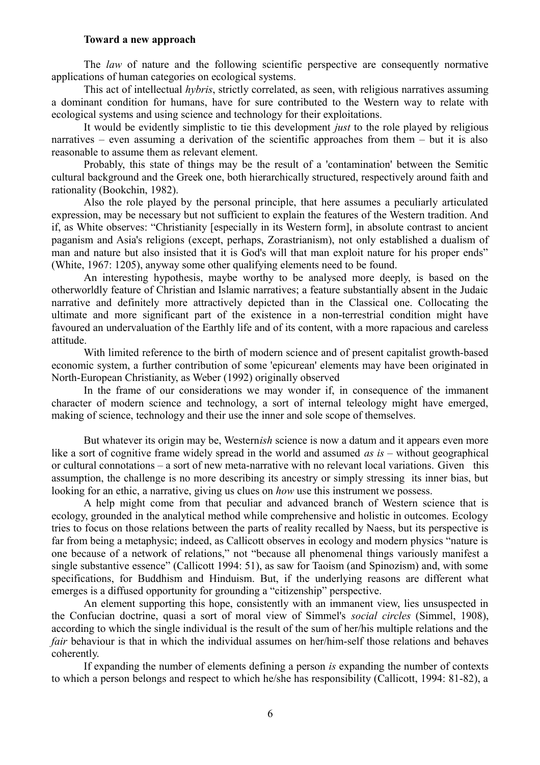### **Toward a new approach**

The *law* of nature and the following scientific perspective are consequently normative applications of human categories on ecological systems.

This act of intellectual *hybris*, strictly correlated, as seen, with religious narratives assuming a dominant condition for humans, have for sure contributed to the Western way to relate with ecological systems and using science and technology for their exploitations.

It would be evidently simplistic to tie this development *just* to the role played by religious narratives – even assuming a derivation of the scientific approaches from them – but it is also reasonable to assume them as relevant element.

Probably, this state of things may be the result of a 'contamination' between the Semitic cultural background and the Greek one, both hierarchically structured, respectively around faith and rationality (Bookchin, 1982).

Also the role played by the personal principle, that here assumes a peculiarly articulated expression, may be necessary but not sufficient to explain the features of the Western tradition. And if, as White observes: "Christianity [especially in its Western form], in absolute contrast to ancient paganism and Asia's religions (except, perhaps, Zorastrianism), not only established a dualism of man and nature but also insisted that it is God's will that man exploit nature for his proper ends" (White, 1967: 1205), anyway some other qualifying elements need to be found.

An interesting hypothesis, maybe worthy to be analysed more deeply, is based on the otherworldly feature of Christian and Islamic narratives; a feature substantially absent in the Judaic narrative and definitely more attractively depicted than in the Classical one. Collocating the ultimate and more significant part of the existence in a non-terrestrial condition might have favoured an undervaluation of the Earthly life and of its content, with a more rapacious and careless attitude.

With limited reference to the birth of modern science and of present capitalist growth-based economic system, a further contribution of some 'epicurean' elements may have been originated in North-European Christianity, as Weber (1992) originally observed

In the frame of our considerations we may wonder if, in consequence of the immanent character of modern science and technology, a sort of internal teleology might have emerged, making of science, technology and their use the inner and sole scope of themselves.

But whatever its origin may be, Western*ish* science is now a datum and it appears even more like a sort of cognitive frame widely spread in the world and assumed *as is –* without geographical or cultural connotations – a sort of new meta-narrative with no relevant local variations. Given this assumption, the challenge is no more describing its ancestry or simply stressing its inner bias, but looking for an ethic, a narrative, giving us clues on *how* use this instrument we possess.

A help might come from that peculiar and advanced branch of Western science that is ecology, grounded in the analytical method while comprehensive and holistic in outcomes. Ecology tries to focus on those relations between the parts of reality recalled by Naess, but its perspective is far from being a metaphysic; indeed, as Callicott observes in ecology and modern physics "nature is one because of a network of relations," not "because all phenomenal things variously manifest a single substantive essence" (Callicott 1994: 51), as saw for Taoism (and Spinozism) and, with some specifications, for Buddhism and Hinduism. But, if the underlying reasons are different what emerges is a diffused opportunity for grounding a "citizenship" perspective.

An element supporting this hope, consistently with an immanent view, lies unsuspected in the Confucian doctrine, quasi a sort of moral view of Simmel's *social circles* (Simmel, 1908), according to which the single individual is the result of the sum of her/his multiple relations and the *fair* behaviour is that in which the individual assumes on her/him-self those relations and behaves coherently.

If expanding the number of elements defining a person *is* expanding the number of contexts to which a person belongs and respect to which he/she has responsibility (Callicott, 1994: 81-82), a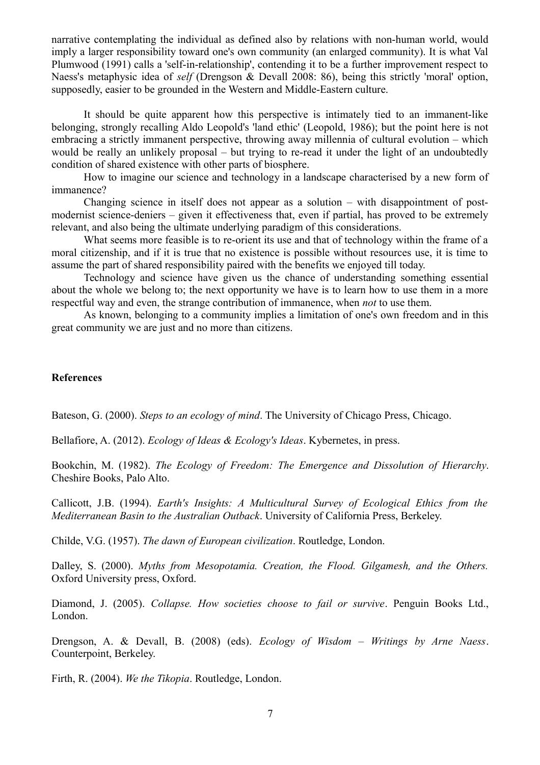narrative contemplating the individual as defined also by relations with non-human world, would imply a larger responsibility toward one's own community (an enlarged community). It is what Val Plumwood (1991) calls a 'self-in-relationship', contending it to be a further improvement respect to Naess's metaphysic idea of *self* (Drengson & Devall 2008: 86), being this strictly 'moral' option, supposedly, easier to be grounded in the Western and Middle-Eastern culture.

It should be quite apparent how this perspective is intimately tied to an immanent-like belonging, strongly recalling Aldo Leopold's 'land ethic' (Leopold, 1986); but the point here is not embracing a strictly immanent perspective, throwing away millennia of cultural evolution – which would be really an unlikely proposal – but trying to re-read it under the light of an undoubtedly condition of shared existence with other parts of biosphere.

How to imagine our science and technology in a landscape characterised by a new form of immanence?

Changing science in itself does not appear as a solution – with disappointment of postmodernist science-deniers – given it effectiveness that, even if partial, has proved to be extremely relevant, and also being the ultimate underlying paradigm of this considerations.

What seems more feasible is to re-orient its use and that of technology within the frame of a moral citizenship, and if it is true that no existence is possible without resources use, it is time to assume the part of shared responsibility paired with the benefits we enjoyed till today.

Technology and science have given us the chance of understanding something essential about the whole we belong to; the next opportunity we have is to learn how to use them in a more respectful way and even, the strange contribution of immanence, when *not* to use them.

As known, belonging to a community implies a limitation of one's own freedom and in this great community we are just and no more than citizens.

## **References**

Bateson, G. (2000). *Steps to an ecology of mind*. The University of Chicago Press, Chicago.

Bellafiore, A. (2012). *Ecology of Ideas & Ecology's Ideas*. Kybernetes, in press.

Bookchin, M. (1982). *The Ecology of Freedom: The Emergence and Dissolution of Hierarchy*. Cheshire Books, Palo Alto.

Callicott, J.B. (1994). *Earth's Insights: A Multicultural Survey of Ecological Ethics from the Mediterranean Basin to the Australian Outback*. University of California Press, Berkeley.

Childe, V.G. (1957). *The dawn of European civilization*. Routledge, London.

Dalley, S. (2000). *Myths from Mesopotamia. Creation, the Flood. Gilgamesh, and the Others.* Oxford University press, Oxford.

Diamond, J. (2005). *Collapse. How societies choose to fail or survive*. Penguin Books Ltd., London.

Drengson, A. & Devall, B. (2008) (eds). *Ecology of Wisdom – Writings by Arne Naess*. Counterpoint, Berkeley.

Firth, R. (2004). *We the Tikopia*. Routledge, London.